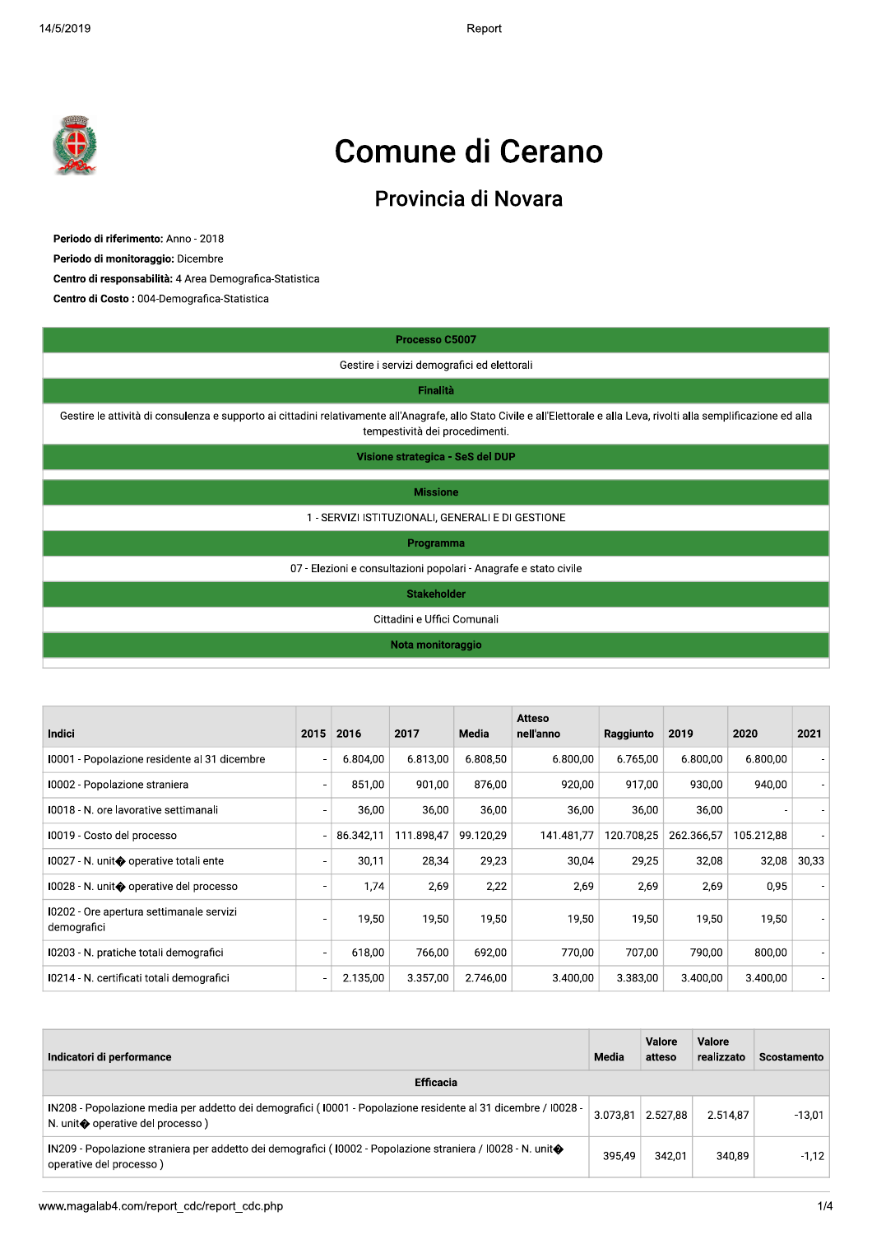$2019$  Report of the set of the set of the set of the set of the set of the set of the set of the set of the set of the set of the set of the set of the set of the set of the set of the set of the set of the set of the se Report



# Comune di Cerano

## Provincia di Novara

|                                                                                                                                                                                                              |  |  | Provincia di Novara                               |  |                                                                  |  |  |  |  |  |  |  |
|--------------------------------------------------------------------------------------------------------------------------------------------------------------------------------------------------------------|--|--|---------------------------------------------------|--|------------------------------------------------------------------|--|--|--|--|--|--|--|
| Periodo di riferimento: Anno - 2018<br>Periodo di monitoraggio: Dicembre<br>Centro di responsabilità: 4 Area Demografica-Statistica<br>Centro di Costo: 004-Demografica-Statistica                           |  |  |                                                   |  |                                                                  |  |  |  |  |  |  |  |
|                                                                                                                                                                                                              |  |  | Processo C5007                                    |  |                                                                  |  |  |  |  |  |  |  |
| Gestire i servizi demografici ed elettorali                                                                                                                                                                  |  |  |                                                   |  |                                                                  |  |  |  |  |  |  |  |
| <b>Finalità</b>                                                                                                                                                                                              |  |  |                                                   |  |                                                                  |  |  |  |  |  |  |  |
| Gestire le attività di consulenza e supporto ai cittadini relativamente all'Anagrafe, allo Stato Civile e all'Elettorale e alla Leva, rivolti alla semplificazione ed alla<br>tempestività dei procedimenti. |  |  |                                                   |  |                                                                  |  |  |  |  |  |  |  |
| Visione strategica - SeS del DUP                                                                                                                                                                             |  |  |                                                   |  |                                                                  |  |  |  |  |  |  |  |
|                                                                                                                                                                                                              |  |  | <b>Missione</b>                                   |  |                                                                  |  |  |  |  |  |  |  |
|                                                                                                                                                                                                              |  |  | 1 - SERVIZI ISTITUZIONALI, GENERALI E DI GESTIONE |  |                                                                  |  |  |  |  |  |  |  |
|                                                                                                                                                                                                              |  |  | Programma                                         |  |                                                                  |  |  |  |  |  |  |  |
|                                                                                                                                                                                                              |  |  |                                                   |  | 07 - Elezioni e consultazioni popolari - Anagrafe e stato civile |  |  |  |  |  |  |  |
|                                                                                                                                                                                                              |  |  | <b>Stakeholder</b>                                |  |                                                                  |  |  |  |  |  |  |  |
|                                                                                                                                                                                                              |  |  | Cittadini e Uffici Comunali                       |  |                                                                  |  |  |  |  |  |  |  |
|                                                                                                                                                                                                              |  |  | Nota monitoraggio                                 |  |                                                                  |  |  |  |  |  |  |  |
|                                                                                                                                                                                                              |  |  |                                                   |  |                                                                  |  |  |  |  |  |  |  |
|                                                                                                                                                                                                              |  |  |                                                   |  | <b>Atteso</b>                                                    |  |  |  |  |  |  |  |

| <b>Indici</b>                                                                                                                                              |                          | 2015 2016 | 2017             | Media     | <b>Atteso</b><br>nell'anno | Raggiunto    | 2019             |                      | 2020               |          |
|------------------------------------------------------------------------------------------------------------------------------------------------------------|--------------------------|-----------|------------------|-----------|----------------------------|--------------|------------------|----------------------|--------------------|----------|
| 10001 - Popolazione residente al 31 dicembre                                                                                                               |                          | 6.804,00  | 6.813,00         | 6.808,50  | 6.800,00                   | 6.765,00     |                  | 6.800,00             | 6.800,00           |          |
| 10002 - Popolazione straniera                                                                                                                              |                          | 851.00    | 901.00           | 876.00    | 920.00                     |              | 917,00           | 930.00               | 940,00             |          |
| 10018 - N. ore lavorative settimanali                                                                                                                      |                          | 36,00     | 36,00            | 36,00     | 36,00                      |              | 36,00            | 36,00                |                    |          |
| I0019 - Costo del processo                                                                                                                                 |                          | 86.342,11 | 111.898,47       | 99.120,29 | 141.481.77                 | 120.708.25   |                  | 262.366,57           | 105.212,88         |          |
| 10027 - N. unit◆ operative totali ente                                                                                                                     |                          | 30,11     | 28,34            | 29,23     | 30,04                      |              | 29,25            | 32,08                | 32,08              |          |
| 10028 - N. unit◆ operative del processo                                                                                                                    |                          | 1.74      | 2,69             | 2,22      | 2,69                       |              | 2,69             | 2,69                 | 0,95               |          |
| 10202 - Ore apertura settimanale servizi<br>demografici                                                                                                    |                          | 19,50     | 19,50            | 19,50     | 19,50                      |              | 19,50            | 19,50                | 19,50              |          |
| 10203 - N. pratiche totali demografici                                                                                                                     | $\overline{\phantom{a}}$ | 618,00    | 766,00           | 692,00    | 770,00                     |              | 707,00           | 790,00               | 800,00             |          |
| I0214 - N. certificati totali demografici                                                                                                                  |                          | 2.135,00  | 3.357,00         | 2.746,00  | 3.400,00                   | 3.383,00     |                  | 3.400,00             | 3.400,00           |          |
| Indicatori di performance                                                                                                                                  |                          |           | <b>Efficacia</b> |           |                            | <b>Media</b> | Valore<br>atteso | Valore<br>realizzato | <b>Scostamento</b> |          |
| IN208 - Popolazione media per addetto dei demografici (10001 - Popolazione residente al 31 dicembre / I0028 -<br>N. unit $\bullet$ operative del processo) |                          |           |                  |           |                            | 3.073.81     | 2.527,88         | 2.514.87             |                    | $-13,01$ |
| IN209 - Popolazione straniera per addetto dei demografici (10002 - Popolazione straniera / 10028 - N. unit◆                                                |                          |           |                  |           |                            | 395.49       | 342,01           |                      | 340,89             |          |

| Indicatori di performance                                                                                                                        | Media    | Valore<br>atteso | Valore<br>realizzato | Scostamento |
|--------------------------------------------------------------------------------------------------------------------------------------------------|----------|------------------|----------------------|-------------|
| <b>Efficacia</b>                                                                                                                                 |          |                  |                      |             |
| IN208 - Popolazione media per addetto dei demografici (10001 - Popolazione residente al 31 dicembre / 10028 -<br>N. unit operative del processo) | 3.073.81 | 2.527.88         | 2.514.87             | $-13.01$    |
| IN209 - Popolazione straniera per addetto dei demografici (10002 - Popolazione straniera / I0028 - N. unit�<br>operative del processo)           | 395.49   | 342.01           | 340.89               | $-1.12$     |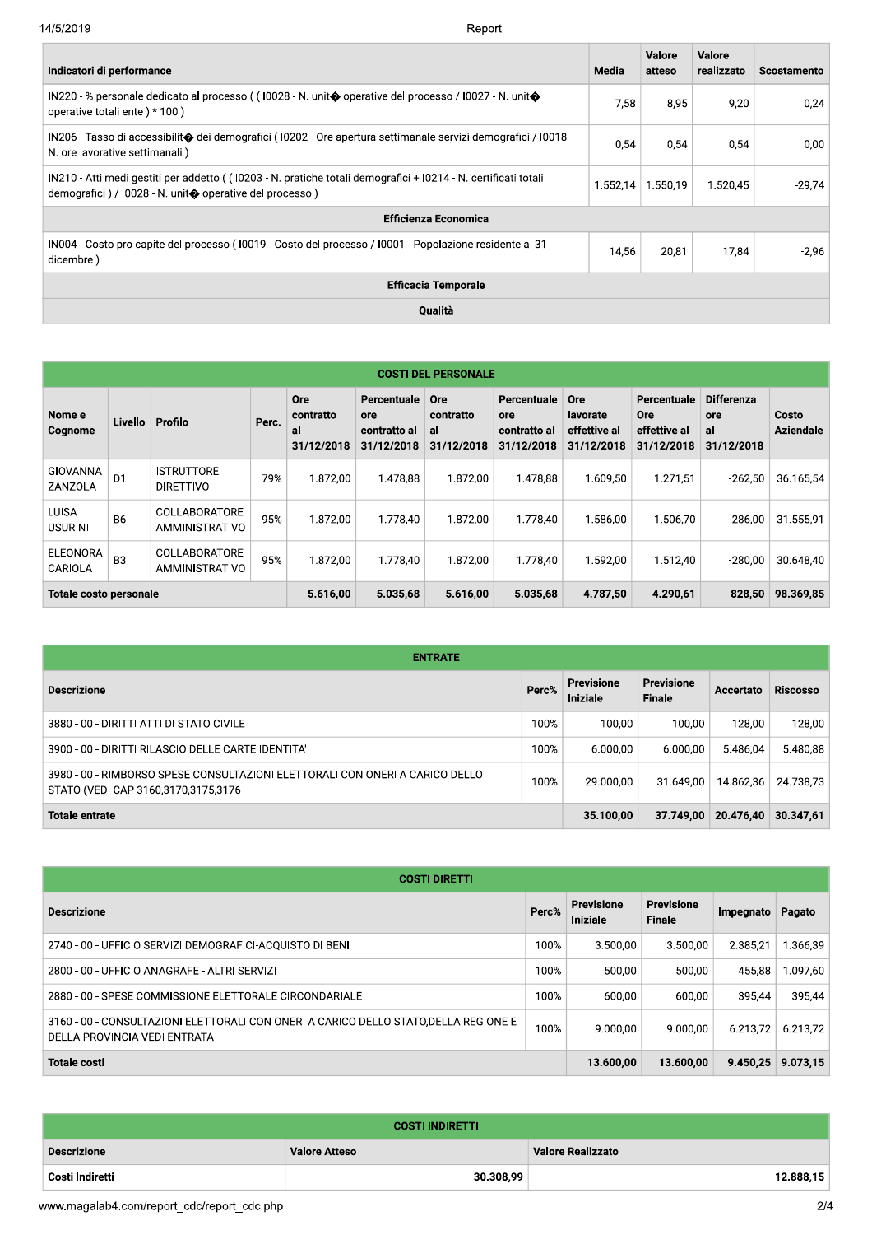| 14/5/2019<br>Report                                                                                                                                                       |          |                  |                      |             |
|---------------------------------------------------------------------------------------------------------------------------------------------------------------------------|----------|------------------|----------------------|-------------|
| Indicatori di performance                                                                                                                                                 | Media    | Valore<br>atteso | Valore<br>realizzato | Scostamento |
| IN220 - % personale dedicato al processo ((10028 - N. unit� operative del processo / 10027 - N. unit�<br>operative totali ente) * 100)                                    | 7,58     | 8,95             | 9,20                 | 0,24        |
| IN206 - Tasso di accessibilit� dei demografici (10202 - Ore apertura settimanale servizi demografici / 10018 -<br>N. ore lavorative settimanali)                          | 0,54     | 0,54             | 0,54                 | 0,00        |
| IN210 - Atti medi gestiti per addetto ((10203 - N. pratiche totali demografici + I0214 - N. certificati totali<br>demografici) / I0028 - N. unit� operative del processo) | 1.552,14 | 1.550,19         | 1.520,45             | $-29,74$    |
| <b>Efficienza Economica</b>                                                                                                                                               |          |                  |                      |             |
| IN004 - Costo pro capite del processo (I0019 - Costo del processo / I0001 - Popolazione residente al 31<br>dicembre)                                                      | 14,56    | 20,81            | 17,84                | $-2,96$     |
| <b>Efficacia Temporale</b>                                                                                                                                                |          |                  |                      |             |
| Qualità                                                                                                                                                                   |          |                  |                      |             |

|                                | <b>COSTI DEL PERSONALE</b> |                                        |          |                                             |                                                         |                                      |                                                  |                                                      |                                                         |                                              |                           |  |  |  |
|--------------------------------|----------------------------|----------------------------------------|----------|---------------------------------------------|---------------------------------------------------------|--------------------------------------|--------------------------------------------------|------------------------------------------------------|---------------------------------------------------------|----------------------------------------------|---------------------------|--|--|--|
| Nome e<br>Cognome              | Livello                    | Profilo                                | Perc.    | <b>Ore</b><br>contratto<br>al<br>31/12/2018 | Percentuale<br><b>ore</b><br>contratto al<br>31/12/2018 | Ore<br>contratto<br>al<br>31/12/2018 | Percentuale<br>ore<br>contratto al<br>31/12/2018 | <b>Ore</b><br>lavorate<br>effettive al<br>31/12/2018 | Percentuale<br><b>Ore</b><br>effettive al<br>31/12/2018 | <b>Differenza</b><br>ore<br>al<br>31/12/2018 | Costo<br><b>Aziendale</b> |  |  |  |
| GIOVANNA<br>ZANZOLA            | D <sub>1</sub>             | <b>ISTRUTTORE</b><br><b>DIRETTIVO</b>  | 79%      | 1.872.00                                    | 1.478.88                                                | 1.872.00                             | 1.478.88                                         | 1.609.50                                             | 1.271.51                                                | $-262,50$                                    | 36.165,54                 |  |  |  |
| <b>LUISA</b><br><b>USURINI</b> | <b>B6</b>                  | <b>COLLABORATORE</b><br>AMMINISTRATIVO | 95%      | 1.872,00                                    | 1.778.40                                                | 1.872.00                             | 1.778.40                                         | 1.586,00                                             | 1.506.70                                                | $-286,00$                                    | 31.555,91                 |  |  |  |
| ELEONORA<br>CARIOLA            | B <sub>3</sub>             | COLLABORATORE<br>AMMINISTRATIVO        | 95%      | 1.872,00                                    | 1.778.40                                                | 1.872.00                             | 1.778.40                                         | 1.592.00                                             | 1.512.40                                                | $-280.00$                                    | 30.648.40                 |  |  |  |
| Totale costo personale         |                            |                                        | 5.616,00 | 5.035.68                                    | 5.616,00                                                | 5.035.68                             | 4.787,50                                         | 4.290.61                                             | $-828,50$                                               | 98.369,85                                    |                           |  |  |  |

| <b>ENTRATE</b>                                                                                                      |       |                               |                                    |                  |                 |  |  |  |  |  |  |
|---------------------------------------------------------------------------------------------------------------------|-------|-------------------------------|------------------------------------|------------------|-----------------|--|--|--|--|--|--|
| <b>Descrizione</b>                                                                                                  | Perc% | <b>Previsione</b><br>Iniziale | <b>Previsione</b><br><b>Finale</b> | <b>Accertato</b> | <b>Riscosso</b> |  |  |  |  |  |  |
| 3880 - 00 - DIRITTI ATTI DI STATO CIVILE                                                                            | 100%  | 100.00                        | 100.00                             | 128.00           | 128,00          |  |  |  |  |  |  |
| 3900 - 00 - DIRITTI RILASCIO DELLE CARTE IDENTITA'                                                                  | 100%  | 6.000.00                      | 6.000,00                           | 5.486.04         | 5.480,88        |  |  |  |  |  |  |
| 3980 - 00 - RIMBORSO SPESE CONSULTAZIONI ELETTORALI CON ONERI A CARICO DELLO<br>STATO (VEDI CAP 3160,3170,3175,3176 | 100%  | 29.000.00                     | 31.649.00                          | 14.862.36        | 24.738.73       |  |  |  |  |  |  |
| <b>Totale entrate</b>                                                                                               |       | 35.100,00                     | 37.749.00                          | 20.476,40        | 30.347.61       |  |  |  |  |  |  |

| <b>COSTI DIRETTI</b>                                                                                                 |       |                        |                                    |           |          |  |  |  |  |  |  |
|----------------------------------------------------------------------------------------------------------------------|-------|------------------------|------------------------------------|-----------|----------|--|--|--|--|--|--|
| <b>Descrizione</b>                                                                                                   | Perc% | Previsione<br>Iniziale | <b>Previsione</b><br><b>Finale</b> | Impegnato | Pagato   |  |  |  |  |  |  |
| 2740 - 00 - UFFICIO SERVIZI DEMOGRAFICI-ACOUISTO DI BENI                                                             | 100%  | 3.500.00               | 3.500.00                           | 2.385.21  | 1.366.39 |  |  |  |  |  |  |
| 2800 - 00 - UFFICIO ANAGRAFE - ALTRI SERVIZI                                                                         | 100%  | 500.00                 | 500,00                             | 455.88    | 1.097,60 |  |  |  |  |  |  |
| 2880 - 00 - SPESE COMMISSIONE ELETTORALE CIRCONDARIALE                                                               | 100%  | 600.00                 | 600.00                             | 395.44    | 395,44   |  |  |  |  |  |  |
| 3160 - 00 - CONSULTAZIONI ELETTORALI CON ONERI A CARICO DELLO STATO, DELLA REGIONE E<br>DELLA PROVINCIA VEDI ENTRATA | 100%  | 9.000.00               | 9.000.00                           | 6.213,72  | 6.213.72 |  |  |  |  |  |  |
| <b>Totale costi</b>                                                                                                  |       | 13.600.00              | 13.600.00                          | 9.450.25  | 9.073,15 |  |  |  |  |  |  |

|                        |  | 13.600,00 | 13.600,00                | $9.450,25$ 9.073,15 |           |  |  |  |  |  |  |
|------------------------|--|-----------|--------------------------|---------------------|-----------|--|--|--|--|--|--|
|                        |  |           |                          |                     |           |  |  |  |  |  |  |
| <b>COSTI INDIRETTI</b> |  |           |                          |                     |           |  |  |  |  |  |  |
| <b>Valore Atteso</b>   |  |           |                          |                     |           |  |  |  |  |  |  |
| 30.308,99              |  |           |                          |                     | 12.888,15 |  |  |  |  |  |  |
|                        |  |           |                          |                     | 2/4       |  |  |  |  |  |  |
|                        |  |           | <b>Valore Realizzato</b> |                     |           |  |  |  |  |  |  |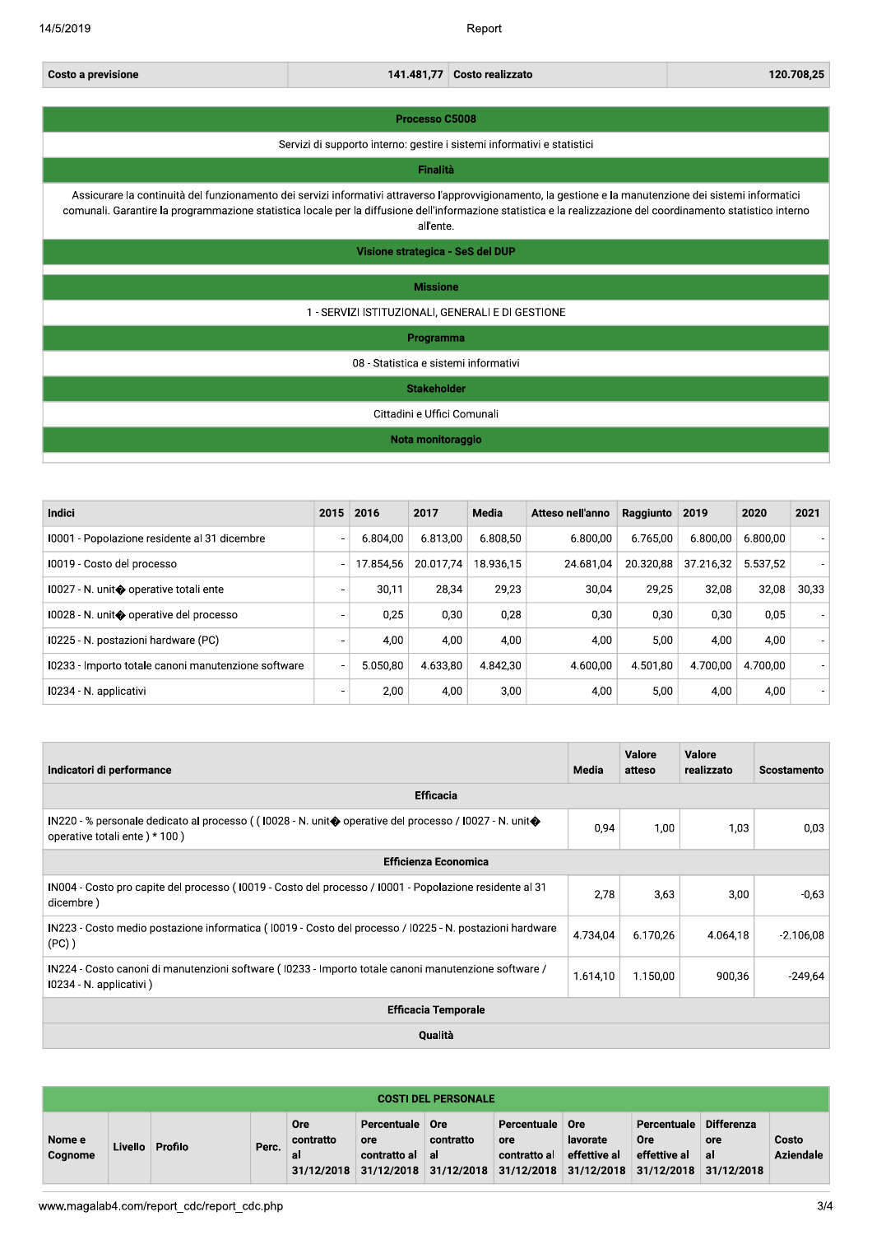Report

| Costo a previsione | 141.481.77 Costo realizzato | 120.708.25 |
|--------------------|-----------------------------|------------|
|                    |                             |            |

#### Processo C5008

Servizi di supporto interno: gestire i sistemi informativi e statistici

### **Finalità**

Assicurare la continuità del funzionamento dei servizi informativi attraverso l'approvvigionamento, la gestione e la manutenzione dei sistemi informatici comunali. Garantire la programmazione statistica locale per la diffusione dell'informazione statistica e la realizzazione del coordinamento statistico interno all'ente.

Visione strategica - SeS del DUP

### **Missione**

### 1 - SERVIZI ISTITUZIONALI, GENERALI E DI GESTIONE

Programma

08 - Statistica e sistemi informativi

### **Stakeholder**

Cittadini e Uffici Comunali

### Nota monitoraggio

| <b>Indici</b>                                       | 2015                     | 2016      | 2017      | Media     | Atteso nell'anno | Raggiunto | 2019      | 2020     | 2021  |
|-----------------------------------------------------|--------------------------|-----------|-----------|-----------|------------------|-----------|-----------|----------|-------|
| 10001 - Popolazione residente al 31 dicembre        | ٠                        | 6.804.00  | 6.813.00  | 6.808.50  | 6.800.00         | 6.765.00  | 6.800.00  | 6.800.00 |       |
| 10019 - Costo del processo                          | $\overline{\phantom{a}}$ | 17.854.56 | 20.017.74 | 18.936.15 | 24.681.04        | 20.320.88 | 37.216,32 | 5.537.52 |       |
| 10027 - N. unit◆ operative totali ente              | ٠                        | 30,11     | 28,34     | 29.23     | 30.04            | 29,25     | 32,08     | 32,08    | 30,33 |
| 10028 - N. unit◆ operative del processo             | ۰                        | 0.25      | 0,30      | 0,28      | 0.30             | 0,30      | 0.30      | 0,05     |       |
| I0225 - N. postazioni hardware (PC)                 |                          | 4.00      | 4,00      | 4.00      | 4.00             | 5,00      | 4.00      | 4,00     |       |
| 10233 - Importo totale canoni manutenzione software |                          | 5.050.80  | 4.633.80  | 4.842.30  | 4.600.00         | 4.501.80  | 4.700.00  | 4.700.00 |       |
| 10234 - N. applicativi                              | ۰                        | 2.00      | 4,00      | 3,00      | 4.00             | 5,00      | 4.00      | 4,00     |       |

| Indicatori di performance                                                                                                             | Media    | <b>Valore</b><br>atteso | Valore<br>realizzato | <b>Scostamento</b> |  |  |  |  |  |  |
|---------------------------------------------------------------------------------------------------------------------------------------|----------|-------------------------|----------------------|--------------------|--|--|--|--|--|--|
| <b>Efficacia</b>                                                                                                                      |          |                         |                      |                    |  |  |  |  |  |  |
| IN220 - % personale dedicato al processo ((10028 - N. unit�operative del processo / I0027 - N. unit�<br>operative totali ente) * 100) | 0,94     | 1,00                    | 1,03                 | 0,03               |  |  |  |  |  |  |
| <b>Efficienza Economica</b>                                                                                                           |          |                         |                      |                    |  |  |  |  |  |  |
| IN004 - Costo pro capite del processo (10019 - Costo del processo / 10001 - Popolazione residente al 31<br>dicembre)                  | 2,78     | 3.63                    | 3,00                 | $-0,63$            |  |  |  |  |  |  |
| IN223 - Costo medio postazione informatica (10019 - Costo del processo / 10225 - N. postazioni hardware<br>$(PC)$ )                   | 4.734,04 | 6.170.26                | 4.064.18             | $-2.106,08$        |  |  |  |  |  |  |
| IN224 - Costo canoni di manutenzioni software (10233 - Importo totale canoni manutenzione software /<br>10234 - N. applicativi)       | 1.614,10 | 1.150,00                | 900,36               | $-249,64$          |  |  |  |  |  |  |
| <b>Efficacia Temporale</b>                                                                                                            |          |                         |                      |                    |  |  |  |  |  |  |
| Qualità                                                                                                                               |          |                         |                      |                    |  |  |  |  |  |  |

| <b>COSTI DEL PERSONALE</b> |         |         |       |                                             |                                                  |                        |                                                               |                                               |                                                         |                                              |                           |  |
|----------------------------|---------|---------|-------|---------------------------------------------|--------------------------------------------------|------------------------|---------------------------------------------------------------|-----------------------------------------------|---------------------------------------------------------|----------------------------------------------|---------------------------|--|
| Nome e<br>Cognome          | Livello | Profilo | Perc. | <b>Ore</b><br>contratto<br>al<br>31/12/2018 | Percentuale<br>ore<br>contratto al<br>31/12/2018 | Ore<br>contratto<br>al | Percentuale<br>ore<br>contratto al<br>$31/12/2018$ 31/12/2018 | Ore<br>lavorate<br>effettive al<br>31/12/2018 | Percentuale<br><b>Ore</b><br>effettive al<br>31/12/2018 | <b>Differenza</b><br>ore<br>al<br>31/12/2018 | Costo<br><b>Aziendale</b> |  |